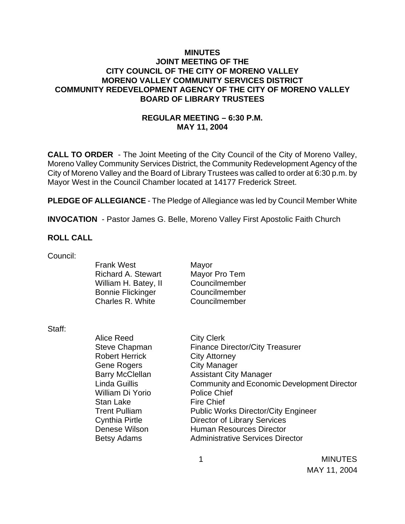#### **MINUTES JOINT MEETING OF THE CITY COUNCIL OF THE CITY OF MORENO VALLEY MORENO VALLEY COMMUNITY SERVICES DISTRICT COMMUNITY REDEVELOPMENT AGENCY OF THE CITY OF MORENO VALLEY BOARD OF LIBRARY TRUSTEES**

## **REGULAR MEETING – 6:30 P.M. MAY 11, 2004**

**CALL TO ORDER** - The Joint Meeting of the City Council of the City of Moreno Valley, Moreno Valley Community Services District, the Community Redevelopment Agency of the City of Moreno Valley and the Board of Library Trustees was called to order at 6:30 p.m. by Mayor West in the Council Chamber located at 14177 Frederick Street.

**PLEDGE OF ALLEGIANCE** - The Pledge of Allegiance was led by Council Member White

**INVOCATION** - Pastor James G. Belle, Moreno Valley First Apostolic Faith Church

#### **ROLL CALL**

Council:

Frank West Mayor Richard A. Stewart Mayor Pro Tem William H. Batey, II Councilmember Bonnie Flickinger Councilmember Charles R. White Councilmember

Staff:

Alice Reed City Clerk Steve Chapman Finance Director/City Treasurer Robert Herrick City Attorney Gene Rogers City Manager Barry McClellan Assistant City Manager Linda Guillis Community and Economic Development Director William Di Yorio Police Chief Stan Lake Fire Chief Trent Pulliam Public Works Director/City Engineer Cynthia Pirtle Director of Library Services Denese Wilson **Human Resources Director** Betsy Adams **Administrative Services Director**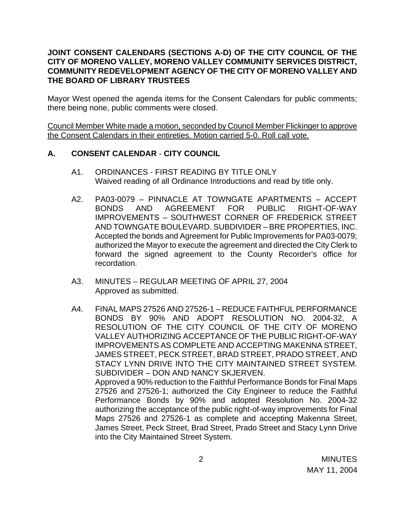#### **JOINT CONSENT CALENDARS (SECTIONS A-D) OF THE CITY COUNCIL OF THE CITY OF MORENO VALLEY, MORENO VALLEY COMMUNITY SERVICES DISTRICT, COMMUNITY REDEVELOPMENT AGENCY OF THE CITY OF MORENO VALLEY AND THE BOARD OF LIBRARY TRUSTEES**

Mayor West opened the agenda items for the Consent Calendars for public comments; there being none, public comments were closed.

Council Member White made a motion, seconded by Council Member Flickinger to approve the Consent Calendars in their entireties. Motion carried 5-0. Roll call vote.

#### **A. CONSENT CALENDAR** - **CITY COUNCIL**

- A1. ORDINANCES FIRST READING BY TITLE ONLY Waived reading of all Ordinance Introductions and read by title only.
- A2. PA03-0079 PINNACLE AT TOWNGATE APARTMENTS ACCEPT BONDS AND AGREEMENT FOR PUBLIC RIGHT-OF-WAY IMPROVEMENTS – SOUTHWEST CORNER OF FREDERICK STREET AND TOWNGATE BOULEVARD. SUBDIVIDER – BRE PROPERTIES, INC. Accepted the bonds and Agreement for Public Improvements for PA03-0079; authorized the Mayor to execute the agreement and directed the City Clerk to forward the signed agreement to the County Recorder's office for recordation.
- A3. MINUTES REGULAR MEETING OF APRIL 27, 2004 Approved as submitted.
- A4. FINAL MAPS 27526 AND 27526-1 REDUCE FAITHFUL PERFORMANCE BONDS BY 90% AND ADOPT RESOLUTION NO. 2004-32, A RESOLUTION OF THE CITY COUNCIL OF THE CITY OF MORENO VALLEY AUTHORIZING ACCEPTANCE OF THE PUBLIC RIGHT-OF-WAY IMPROVEMENTS AS COMPLETE AND ACCEPTING MAKENNA STREET, JAMES STREET, PECK STREET, BRAD STREET, PRADO STREET, AND STACY LYNN DRIVE INTO THE CITY MAINTAINED STREET SYSTEM. SUBDIVIDER – DON AND NANCY SKJERVEN. Approved a 90% reduction to the Faithful Performance Bonds for Final Maps 27526 and 27526-1; authorized the City Engineer to reduce the Faithful Performance Bonds by 90% and adopted Resolution No. 2004-32 authorizing the acceptance of the public right-of-way improvements for Final Maps 27526 and 27526-1 as complete and accepting Makenna Street, James Street, Peck Street, Brad Street, Prado Street and Stacy Lynn Drive into the City Maintained Street System.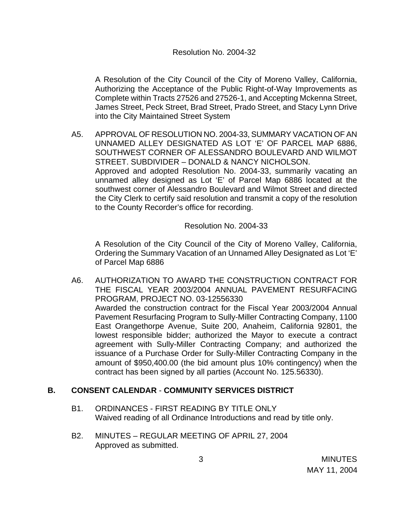A Resolution of the City Council of the City of Moreno Valley, California, Authorizing the Acceptance of the Public Right-of-Way Improvements as Complete within Tracts 27526 and 27526-1, and Accepting Mckenna Street, James Street, Peck Street, Brad Street, Prado Street, and Stacy Lynn Drive into the City Maintained Street System

A5. APPROVAL OF RESOLUTION NO. 2004-33, SUMMARY VACATION OF AN UNNAMED ALLEY DESIGNATED AS LOT 'E' OF PARCEL MAP 6886, SOUTHWEST CORNER OF ALESSANDRO BOULEVARD AND WILMOT STREET. SUBDIVIDER – DONALD & NANCY NICHOLSON. Approved and adopted Resolution No. 2004-33, summarily vacating an unnamed alley designed as Lot 'E' of Parcel Map 6886 located at the southwest corner of Alessandro Boulevard and Wilmot Street and directed the City Clerk to certify said resolution and transmit a copy of the resolution to the County Recorder's office for recording.

Resolution No. 2004-33

A Resolution of the City Council of the City of Moreno Valley, California, Ordering the Summary Vacation of an Unnamed Alley Designated as Lot 'E' of Parcel Map 6886

A6. AUTHORIZATION TO AWARD THE CONSTRUCTION CONTRACT FOR THE FISCAL YEAR 2003/2004 ANNUAL PAVEMENT RESURFACING PROGRAM, PROJECT NO. 03-12556330 Awarded the construction contract for the Fiscal Year 2003/2004 Annual Pavement Resurfacing Program to Sully-Miller Contracting Company, 1100 East Orangethorpe Avenue, Suite 200, Anaheim, California 92801, the lowest responsible bidder; authorized the Mayor to execute a contract agreement with Sully-Miller Contracting Company; and authorized the issuance of a Purchase Order for Sully-Miller Contracting Company in the amount of \$950,400.00 (the bid amount plus 10% contingency) when the contract has been signed by all parties (Account No. 125.56330).

## **B. CONSENT CALENDAR** - **COMMUNITY SERVICES DISTRICT**

- B1. ORDINANCES FIRST READING BY TITLE ONLY Waived reading of all Ordinance Introductions and read by title only.
- B2. MINUTES REGULAR MEETING OF APRIL 27, 2004 Approved as submitted.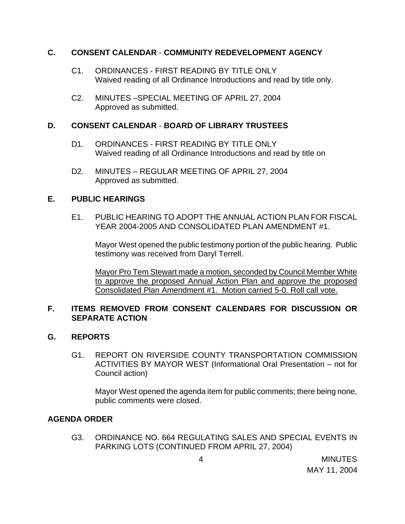#### **C. CONSENT CALENDAR** - **COMMUNITY REDEVELOPMENT AGENCY**

- C1. ORDINANCES FIRST READING BY TITLE ONLY Waived reading of all Ordinance Introductions and read by title only.
- C2. MINUTES –SPECIAL MEETING OF APRIL 27, 2004 Approved as submitted.

# **D. CONSENT CALENDAR** - **BOARD OF LIBRARY TRUSTEES**

- D1. ORDINANCES FIRST READING BY TITLE ONLY Waived reading of all Ordinance Introductions and read by title on
- D2. MINUTES REGULAR MEETING OF APRIL 27, 2004 Approved as submitted.

## **E. PUBLIC HEARINGS**

E1. PUBLIC HEARING TO ADOPT THE ANNUAL ACTION PLAN FOR FISCAL YEAR 2004-2005 AND CONSOLIDATED PLAN AMENDMENT #1.

Mayor West opened the public testimony portion of the public hearing. Public testimony was received from Daryl Terrell.

 Mayor Pro Tem Stewart made a motion, seconded by Council Member White to approve the proposed Annual Action Plan and approve the proposed Consolidated Plan Amendment #1. Motion carried 5-0. Roll call vote.

## **F. ITEMS REMOVED FROM CONSENT CALENDARS FOR DISCUSSION OR SEPARATE ACTION**

## **G. REPORTS**

G1. REPORT ON RIVERSIDE COUNTY TRANSPORTATION COMMISSION ACTIVITIES BY MAYOR WEST (Informational Oral Presentation – not for Council action)

Mayor West opened the agenda item for public comments; there being none, public comments were closed.

## **AGENDA ORDER**

G3. ORDINANCE NO. 664 REGULATING SALES AND SPECIAL EVENTS IN PARKING LOTS (CONTINUED FROM APRIL 27, 2004)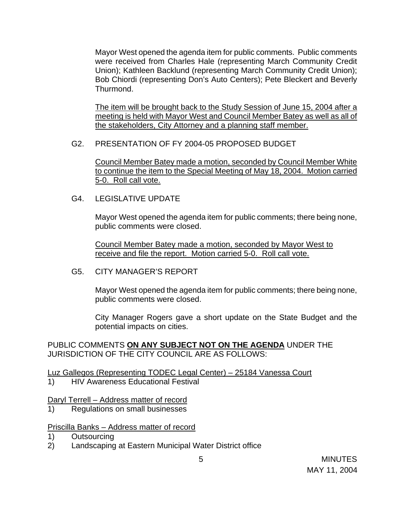Mayor West opened the agenda item for public comments. Public comments were received from Charles Hale (representing March Community Credit Union); Kathleen Backlund (representing March Community Credit Union); Bob Chiordi (representing Don's Auto Centers); Pete Bleckert and Beverly Thurmond.

The item will be brought back to the Study Session of June 15, 2004 after a meeting is held with Mayor West and Council Member Batey as well as all of the stakeholders, City Attorney and a planning staff member.

#### G2. PRESENTATION OF FY 2004-05 PROPOSED BUDGET

Council Member Batey made a motion, seconded by Council Member White to continue the item to the Special Meeting of May 18, 2004. Motion carried 5-0. Roll call vote.

G4. LEGISLATIVE UPDATE

Mayor West opened the agenda item for public comments; there being none, public comments were closed.

Council Member Batey made a motion, seconded by Mayor West to receive and file the report. Motion carried 5-0. Roll call vote.

G5. CITY MANAGER'S REPORT

Mayor West opened the agenda item for public comments; there being none, public comments were closed.

City Manager Rogers gave a short update on the State Budget and the potential impacts on cities.

PUBLIC COMMENTS **ON ANY SUBJECT NOT ON THE AGENDA** UNDER THE JURISDICTION OF THE CITY COUNCIL ARE AS FOLLOWS:

## Luz Gallegos (Representing TODEC Legal Center) – 25184 Vanessa Court

1) HIV Awareness Educational Festival

#### Daryl Terrell – Address matter of record

1) Regulations on small businesses

## Priscilla Banks – Address matter of record

- 1) Outsourcing
- 2) Landscaping at Eastern Municipal Water District office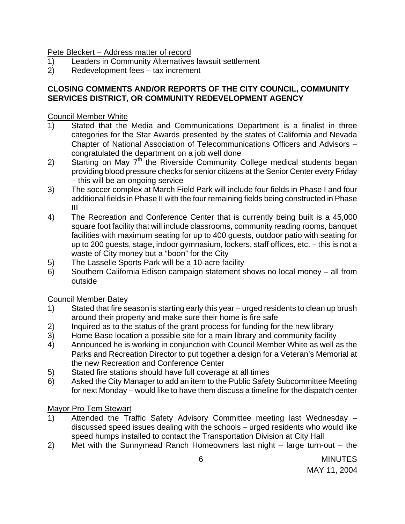Pete Bleckert – Address matter of record

- 1) Leaders in Community Alternatives lawsuit settlement
- 2) Redevelopment fees tax increment

# **CLOSING COMMENTS AND/OR REPORTS OF THE CITY COUNCIL, COMMUNITY SERVICES DISTRICT, OR COMMUNITY REDEVELOPMENT AGENCY**

# Council Member White

- 1) Stated that the Media and Communications Department is a finalist in three categories for the Star Awards presented by the states of California and Nevada Chapter of National Association of Telecommunications Officers and Advisors – congratulated the department on a job well done
- 2) Starting on May  $7<sup>th</sup>$  the Riverside Community College medical students began providing blood pressure checks for senior citizens at the Senior Center every Friday – this will be an ongoing service
- 3) The soccer complex at March Field Park will include four fields in Phase I and four additional fields in Phase II with the four remaining fields being constructed in Phase III
- 4) The Recreation and Conference Center that is currently being built is a 45,000 square foot facility that will include classrooms, community reading rooms, banquet facilities with maximum seating for up to 400 guests, outdoor patio with seating for up to 200 guests, stage, indoor gymnasium, lockers, staff offices, etc. – this is not a waste of City money but a "boon" for the City
- 5) The Lasselle Sports Park will be a 10-acre facility
- 6) Southern California Edison campaign statement shows no local money all from outside

## Council Member Batey

- 1) Stated that fire season is starting early this year urged residents to clean up brush around their property and make sure their home is fire safe
- 2) Inquired as to the status of the grant process for funding for the new library
- 3) Home Base location a possible site for a main library and community facility
- 4) Announced he is working in conjunction with Council Member White as well as the Parks and Recreation Director to put together a design for a Veteran's Memorial at the new Recreation and Conference Center
- 5) Stated fire stations should have full coverage at all times
- 6) Asked the City Manager to add an item to the Public Safety Subcommittee Meeting for next Monday – would like to have them discuss a timeline for the dispatch center

## Mayor Pro Tem Stewart

- 1) Attended the Traffic Safety Advisory Committee meeting last Wednesday discussed speed issues dealing with the schools – urged residents who would like speed humps installed to contact the Transportation Division at City Hall
- 2) Met with the Sunnymead Ranch Homeowners last night large turn-out the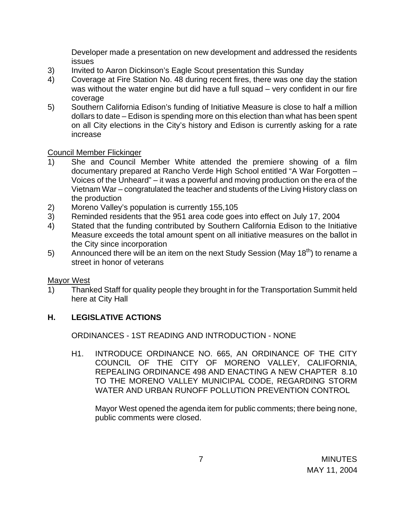Developer made a presentation on new development and addressed the residents issues

- 3) Invited to Aaron Dickinson's Eagle Scout presentation this Sunday
- 4) Coverage at Fire Station No. 48 during recent fires, there was one day the station was without the water engine but did have a full squad – very confident in our fire coverage
- 5) Southern California Edison's funding of Initiative Measure is close to half a million dollars to date – Edison is spending more on this election than what has been spent on all City elections in the City's history and Edison is currently asking for a rate increase

#### Council Member Flickinger

- 1) She and Council Member White attended the premiere showing of a film documentary prepared at Rancho Verde High School entitled "A War Forgotten – Voices of the Unheard" – it was a powerful and moving production on the era of the Vietnam War – congratulated the teacher and students of the Living History class on the production
- 2) Moreno Valley's population is currently 155,105
- 3) Reminded residents that the 951 area code goes into effect on July 17, 2004
- 4) Stated that the funding contributed by Southern California Edison to the Initiative Measure exceeds the total amount spent on all initiative measures on the ballot in the City since incorporation
- 5) Announced there will be an item on the next Study Session (May  $18<sup>th</sup>$ ) to rename a street in honor of veterans

#### Mayor West

1) Thanked Staff for quality people they brought in for the Transportation Summit held here at City Hall

## **H. LEGISLATIVE ACTIONS**

ORDINANCES - 1ST READING AND INTRODUCTION - NONE

H1. INTRODUCE ORDINANCE NO. 665, AN ORDINANCE OF THE CITY COUNCIL OF THE CITY OF MORENO VALLEY, CALIFORNIA, REPEALING ORDINANCE 498 AND ENACTING A NEW CHAPTER 8.10 TO THE MORENO VALLEY MUNICIPAL CODE, REGARDING STORM WATER AND URBAN RUNOFF POLLUTION PREVENTION CONTROL

Mayor West opened the agenda item for public comments; there being none, public comments were closed.